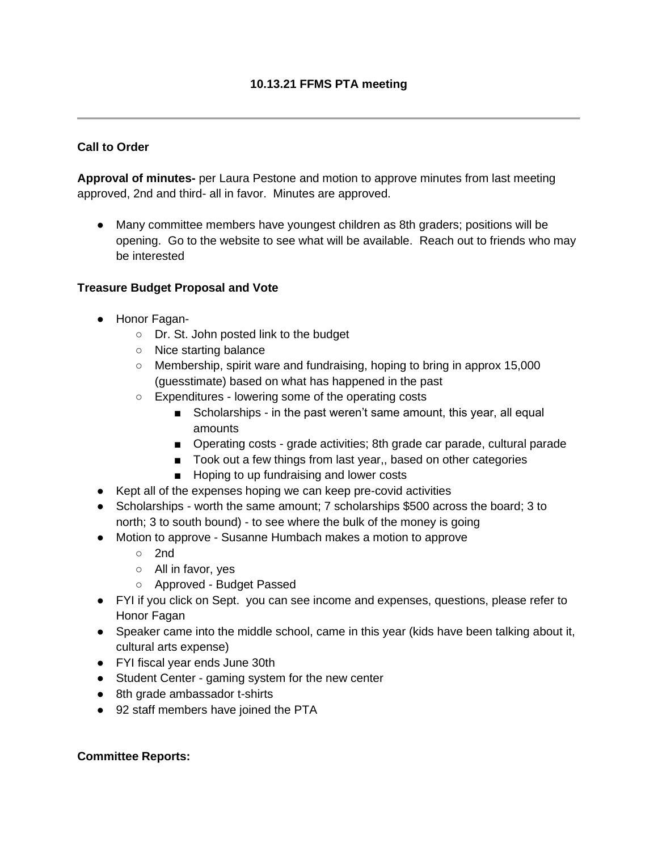### **Call to Order**

**Approval of minutes-** per Laura Pestone and motion to approve minutes from last meeting approved, 2nd and third- all in favor. Minutes are approved.

● Many committee members have youngest children as 8th graders; positions will be opening. Go to the website to see what will be available. Reach out to friends who may be interested

### **Treasure Budget Proposal and Vote**

- Honor Fagan-
	- Dr. St. John posted link to the budget
	- Nice starting balance
	- Membership, spirit ware and fundraising, hoping to bring in approx 15,000 (guesstimate) based on what has happened in the past
	- Expenditures lowering some of the operating costs
		- Scholarships in the past weren't same amount, this year, all equal amounts
		- Operating costs grade activities; 8th grade car parade, cultural parade
		- Took out a few things from last year,, based on other categories
		- Hoping to up fundraising and lower costs
- Kept all of the expenses hoping we can keep pre-covid activities
- Scholarships worth the same amount; 7 scholarships \$500 across the board; 3 to north; 3 to south bound) - to see where the bulk of the money is going
- Motion to approve Susanne Humbach makes a motion to approve
	- 2nd
	- All in favor, yes
	- Approved Budget Passed
- FYI if you click on Sept. you can see income and expenses, questions, please refer to Honor Fagan
- Speaker came into the middle school, came in this year (kids have been talking about it, cultural arts expense)
- FYI fiscal year ends June 30th
- Student Center gaming system for the new center
- 8th grade ambassador t-shirts
- 92 staff members have joined the PTA

# **Committee Reports:**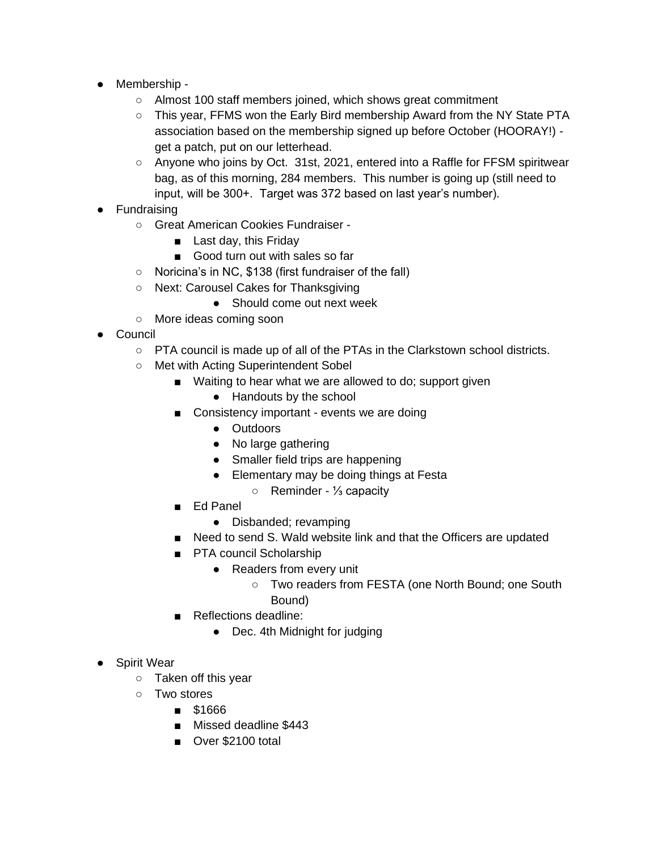- Membership
	- Almost 100 staff members joined, which shows great commitment
	- This year, FFMS won the Early Bird membership Award from the NY State PTA association based on the membership signed up before October (HOORAY!) get a patch, put on our letterhead.
	- Anyone who joins by Oct. 31st, 2021, entered into a Raffle for FFSM spiritwear bag, as of this morning, 284 members. This number is going up (still need to input, will be 300+. Target was 372 based on last year's number).
- Fundraising
	- Great American Cookies Fundraiser -
		- Last day, this Friday
		- Good turn out with sales so far
	- Noricina's in NC, \$138 (first fundraiser of the fall)
	- Next: Carousel Cakes for Thanksgiving
		- Should come out next week
	- More ideas coming soon
- Council
	- PTA council is made up of all of the PTAs in the Clarkstown school districts.
	- Met with Acting Superintendent Sobel
		- Waiting to hear what we are allowed to do; support given
			- Handouts by the school
		- Consistency important events we are doing
			- Outdoors
			- No large gathering
			- Smaller field trips are happening
			- Elementary may be doing things at Festa
				- Reminder ⅓ capacity
		- Ed Panel
			- Disbanded; revamping
		- Need to send S. Wald website link and that the Officers are updated
		- PTA council Scholarship
			- Readers from every unit
				- Two readers from FESTA (one North Bound; one South
					- Bound)
		- Reflections deadline:
			- Dec. 4th Midnight for judging
- Spirit Wear
	- Taken off this year
	- Two stores
		- \$1666
		- Missed deadline \$443
		- Over \$2100 total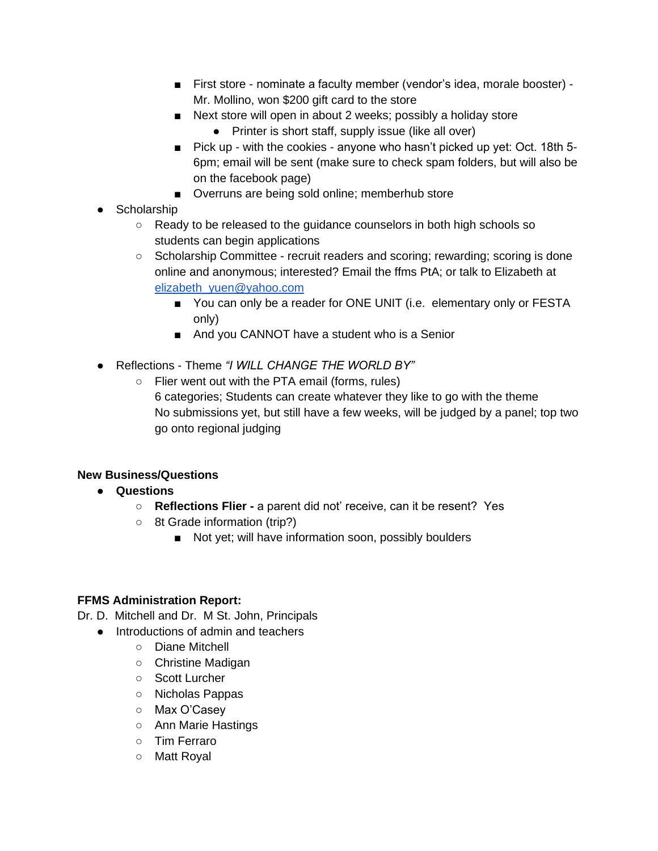- First store nominate a faculty member (vendor's idea, morale booster) -Mr. Mollino, won \$200 gift card to the store
- Next store will open in about 2 weeks; possibly a holiday store
	- Printer is short staff, supply issue (like all over)
- Pick up with the cookies anyone who hasn't picked up yet: Oct. 18th 5-6pm; email will be sent (make sure to check spam folders, but will also be on the facebook page)
- Overruns are being sold online; memberhub store
- Scholarship
	- Ready to be released to the guidance counselors in both high schools so students can begin applications
	- Scholarship Committee recruit readers and scoring; rewarding; scoring is done online and anonymous; interested? Email the ffms PtA; or talk to Elizabeth at [elizabeth\\_yuen@yahoo.com](mailto:elizabeth_yuen@yahoo.com)
		- You can only be a reader for ONE UNIT (i.e. elementary only or FESTA only)
		- And you CANNOT have a student who is a Senior
- Reflections Theme *"I WILL CHANGE THE WORLD BY"*
	- Flier went out with the PTA email (forms, rules) 6 categories; Students can create whatever they like to go with the theme No submissions yet, but still have a few weeks, will be judged by a panel; top two go onto regional judging

# **New Business/Questions**

- **Questions**
	- **Reflections Flier -** a parent did not' receive, can it be resent? Yes
	- 8t Grade information (trip?)
		- Not yet; will have information soon, possibly boulders

# **FFMS Administration Report:**

- Dr. D. Mitchell and Dr. M St. John, Principals
	- Introductions of admin and teachers
		- Diane Mitchell
		- Christine Madigan
		- Scott Lurcher
		- Nicholas Pappas
		- Max O'Casey
		- Ann Marie Hastings
		- Tim Ferraro
		- Matt Royal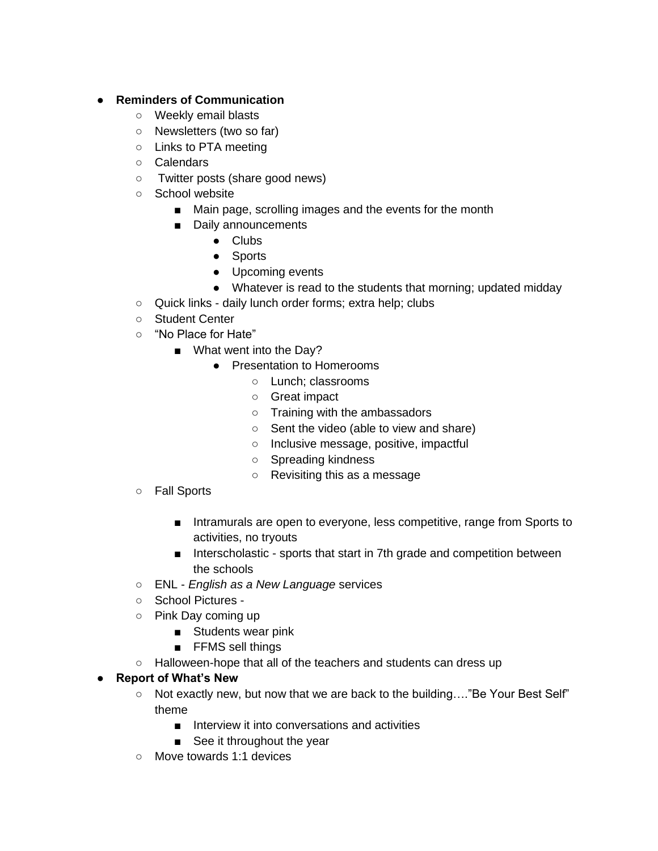# ● **Reminders of Communication**

- Weekly email blasts
- Newsletters (two so far)
- Links to PTA meeting
- Calendars
- Twitter posts (share good news)
- School website
	- Main page, scrolling images and the events for the month
	- Daily announcements
		- Clubs
			- Sports
			- Upcoming events
		- Whatever is read to the students that morning; updated midday
- Quick links daily lunch order forms; extra help; clubs
- Student Center
- "No Place for Hate"
	- What went into the Day?
		- Presentation to Homerooms
			- Lunch; classrooms
			- Great impact
			- Training with the ambassadors
			- Sent the video (able to view and share)
			- Inclusive message, positive, impactful
			- Spreading kindness
			- Revisiting this as a message
- Fall Sports
	- Intramurals are open to everyone, less competitive, range from Sports to activities, no tryouts
	- Interscholastic sports that start in 7th grade and competition between the schools
- ENL *English as a New Language* services
- School Pictures -
- Pink Day coming up
	- Students wear pink
	- FFMS sell things
- Halloween-hope that all of the teachers and students can dress up

# ● **Report of What's New**

- Not exactly new, but now that we are back to the building…."Be Your Best Self" theme
	- Interview it into conversations and activities
	- See it throughout the year
- Move towards 1:1 devices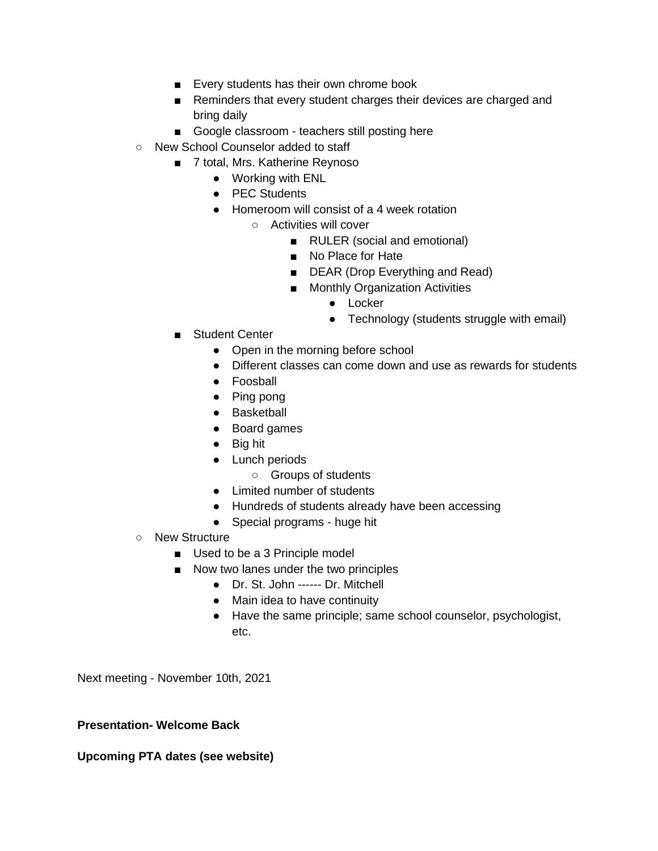- Every students has their own chrome book
- Reminders that every student charges their devices are charged and bring daily
- Google classroom teachers still posting here
- New School Counselor added to staff
	- 7 total, Mrs. Katherine Reynoso
		- Working with ENL
		- PEC Students
		- Homeroom will consist of a 4 week rotation
			- Activities will cover
				- RULER (social and emotional)
				- No Place for Hate
				- DEAR (Drop Everything and Read)
				- Monthly Organization Activities
					- Locker
					- Technology (students struggle with email)
	- Student Center
		- Open in the morning before school
		- Different classes can come down and use as rewards for students
		- Foosball
		- Ping pong
		- Basketball
		- Board games
		- Big hit
		- Lunch periods
			- Groups of students
		- Limited number of students
		- Hundreds of students already have been accessing
		- Special programs huge hit
- New Structure
	- Used to be a 3 Principle model
	- Now two lanes under the two principles
		- Dr. St. John ------ Dr. Mitchell
		- Main idea to have continuity
		- Have the same principle; same school counselor, psychologist, etc.

Next meeting - November 10th, 2021

#### **Presentation- Welcome Back**

#### **Upcoming PTA dates (see website)**